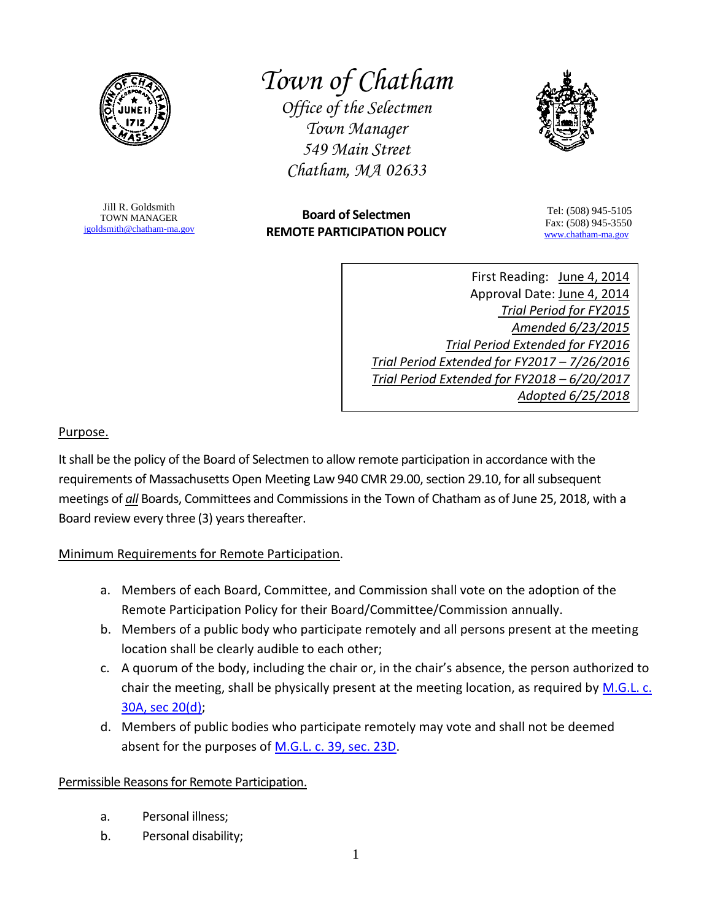

*Town of Chatham*

*Office of the Selectmen Town Manager 549 Main Street Chatham, MA 02633*



Jill R. Goldsmith TOWN MANAGER [jgoldsmith@chatham-ma.gov](mailto:jgoldsmith@chatham-ma.gov)

# **Board of Selectmen REMOTE PARTICIPATION POLICY**

Tel: (508) 945-5105 Fax: (508) 945-3550 [www.chatham-ma.gov](http://www.chatham-ma.gov/)

First Reading: June 4, 2014 Approval Date: June 4, 2014 *Trial Period for FY2015 Amended 6/23/2015 Trial Period Extended for FY2016 Trial Period Extended for FY2017 – 7/26/2016 Trial Period Extended for FY2018 – 6/20/2017 Adopted 6/25/2018*

#### Purpose.

It shall be the policy of the Board of Selectmen to allow remote participation in accordance with the requirements of Massachusetts Open Meeting Law 940 CMR 29.00, section 29.10, for all subsequent meetings of *all* Boards, Committees and Commissions in the Town of Chatham as of June 25, 2018, with a Board review every three (3) years thereafter.

## Minimum Requirements for Remote Participation.

- a. Members of each Board, Committee, and Commission shall vote on the adoption of the Remote Participation Policy for their Board/Committee/Commission annually.
- b. Members of a public body who participate remotely and all persons present at the meeting location shall be clearly audible to each other;
- c. A quorum of the body, including the chair or, in the chair's absence, the person authorized to chair the meeting, shall be physically present at the meeting location, as required by M.G.L. c. [30A, sec 20\(d\);](http://www.mass.gov/ago/government-resources/open-meeting-law/open-meeting-law-mgl-c-30a-18-25.html)
- d. Members of public bodies who participate remotely may vote and shall not be deemed absent for the purposes of [M.G.L. c. 39, sec. 23D.](http://www.malegislature.gov/Laws/GeneralLaws/PartI/TitleVII/Chapter39/Section23d)

## Permissible Reasons for Remote Participation.

- a. Personal illness;
- b. Personal disability;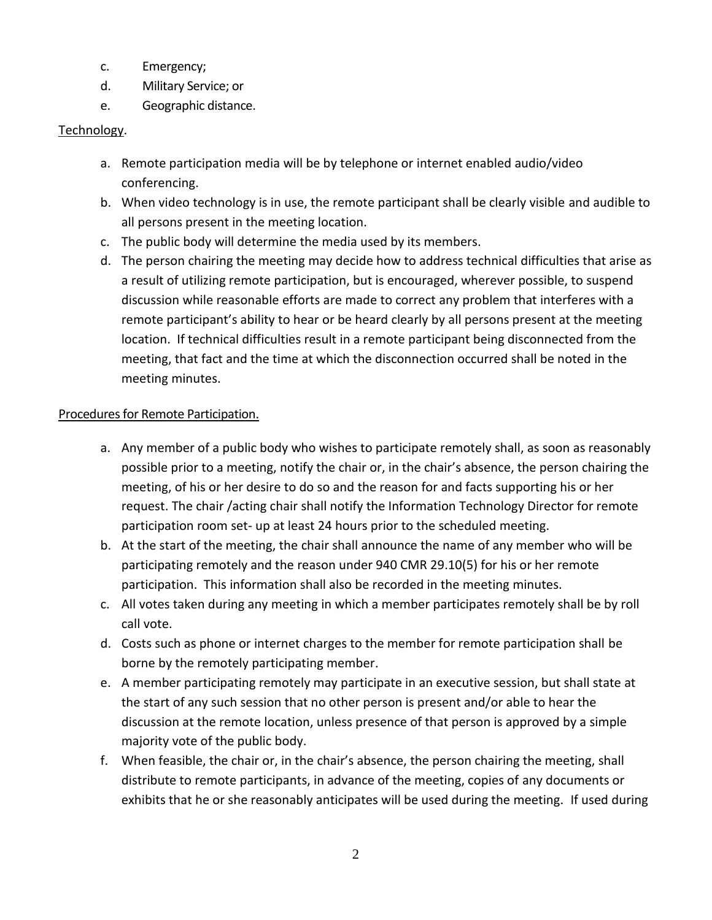- c. Emergency;
- d. Military Service; or
- e. Geographic distance.

### Technology.

- a. Remote participation media will be by telephone or internet enabled audio/video conferencing.
- b. When video technology is in use, the remote participant shall be clearly visible and audible to all persons present in the meeting location.
- c. The public body will determine the media used by its members.
- d. The person chairing the meeting may decide how to address technical difficulties that arise as a result of utilizing remote participation, but is encouraged, wherever possible, to suspend discussion while reasonable efforts are made to correct any problem that interferes with a remote participant's ability to hear or be heard clearly by all persons present at the meeting location. If technical difficulties result in a remote participant being disconnected from the meeting, that fact and the time at which the disconnection occurred shall be noted in the meeting minutes.

#### Procedures for Remote Participation.

- a. Any member of a public body who wishes to participate remotely shall, as soon as reasonably possible prior to a meeting, notify the chair or, in the chair's absence, the person chairing the meeting, of his or her desire to do so and the reason for and facts supporting his or her request. The chair /acting chair shall notify the Information Technology Director for remote participation room set- up at least 24 hours prior to the scheduled meeting.
- b. At the start of the meeting, the chair shall announce the name of any member who will be participating remotely and the reason under 940 CMR 29.10(5) for his or her remote participation. This information shall also be recorded in the meeting minutes.
- c. All votes taken during any meeting in which a member participates remotely shall be by roll call vote.
- d. Costs such as phone or internet charges to the member for remote participation shall be borne by the remotely participating member.
- e. A member participating remotely may participate in an executive session, but shall state at the start of any such session that no other person is present and/or able to hear the discussion at the remote location, unless presence of that person is approved by a simple majority vote of the public body.
- f. When feasible, the chair or, in the chair's absence, the person chairing the meeting, shall distribute to remote participants, in advance of the meeting, copies of any documents or exhibits that he or she reasonably anticipates will be used during the meeting. If used during